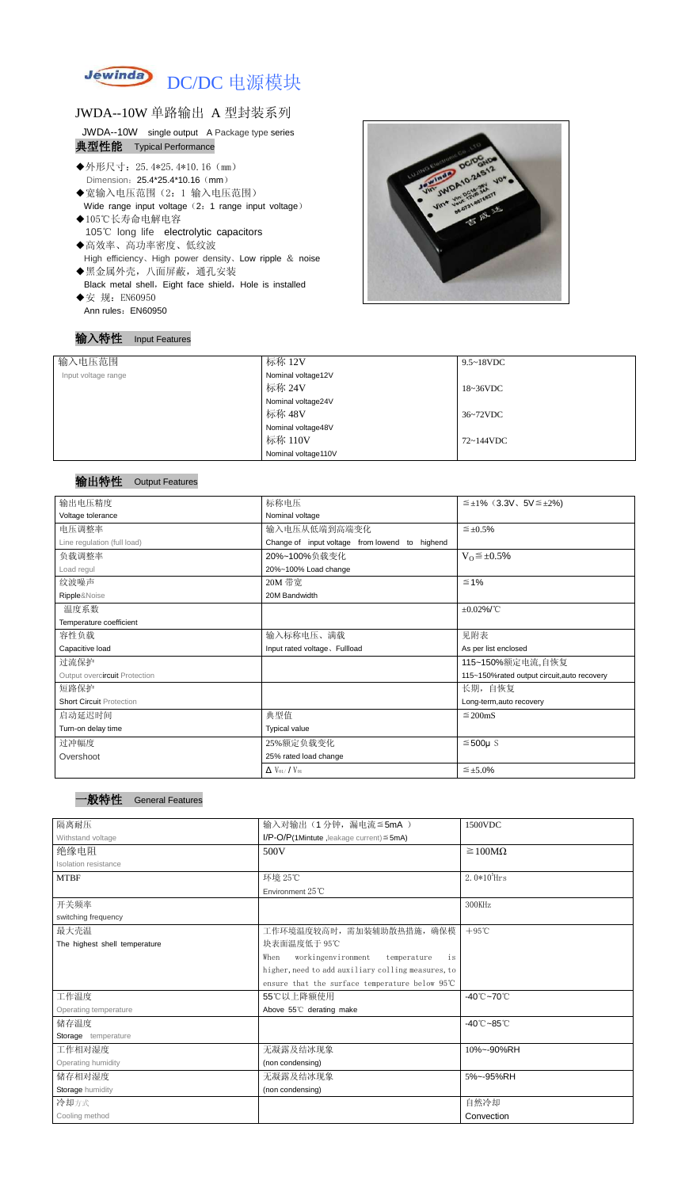

## JWDA--10W 单路输出 A 型封装系列

JWDA--10W single output A Package type series 典型性能 Typical Performance

- ◆外形尺寸: 25.4\*25.4\*10.16 (mm) Dimension: 25.4\*25.4\*10.16 (mm)
- ◆宽输入电压范围(2:1 输入电压范围) Wide range input voltage (2: 1 range input voltage)
- ◆105℃长寿命电解电容 105℃ long life electrolytic capacitors
- ◆高效率、高功率密度、低纹波 High efficiency、High power density、Low ripple & noise
- ◆黑金属外壳,八面屏蔽,通孔安装 Black metal shell, Eight face shield, Hole is installed ◆安 规: EN60950
- Ann rules: EN60950

### 输入特性 Input Features



### 输出特性 Output Features

一般特性General Features

| 输入电压范围              | 标称 12V<br>$9.5 \sim 18$ VDC |           |
|---------------------|-----------------------------|-----------|
| Input voltage range | Nominal voltage12V          |           |
|                     | 标称 24V                      | 18~36VDC  |
|                     | Nominal voltage24V          |           |
|                     | 标称 48V                      | 36~72VDC  |
|                     | Nominal voltage48V          |           |
|                     | 标称 110V                     | 72~144VDC |
|                     | Nominal voltage110V         |           |

| 输出电压精度                          | 标称电压                                              | $\leq \pm 1\%$ (3.3V, 5V $\leq \pm 2\%$ )   |  |
|---------------------------------|---------------------------------------------------|---------------------------------------------|--|
| Voltage tolerance               | Nominal voltage                                   |                                             |  |
| 电压调整率                           | 输入电压从低端到高端变化                                      | $\leq \pm 0.5\%$                            |  |
| Line regulation (full load)     | Change of input voltage from lowend to<br>highend |                                             |  |
| 负载调整率                           | 20%~100%负载变化                                      | $V_0 \leq \pm 0.5\%$                        |  |
| Load regul                      | 20%~100% Load change                              |                                             |  |
| 纹波噪声                            | 20M 带宽                                            | $≤ 1%$                                      |  |
| Ripple&Noise                    | 20M Bandwidth                                     |                                             |  |
| 温度系数                            |                                                   | $\pm 0.02\%$ /°C                            |  |
| Temperature coefficient         |                                                   |                                             |  |
| 容性负载                            | 输入标称电压、满载                                         | 见附表                                         |  |
| Capacitive load                 | Input rated voltage. Fullload                     | As per list enclosed                        |  |
| 过流保护                            |                                                   | 115~150%额定电流,自恢复                            |  |
| Output overcircuit Protection   |                                                   | 115~150%rated output circuit, auto recovery |  |
| 短路保护                            |                                                   | 长期, 自恢复                                     |  |
| <b>Short Circuit Protection</b> |                                                   | Long-term, auto recovery                    |  |
| 启动延迟时间                          | 典型值                                               | $\leq$ 200mS                                |  |
| Turn-on delay time              | <b>Typical value</b>                              |                                             |  |
| 过冲幅度                            | 25%额定负载变化                                         | $≤500µ$ S                                   |  |
| Overshoot                       | 25% rated load change                             |                                             |  |
|                                 | $\Delta$ V <sub>01</sub> /V <sub>01</sub>         | $\leq \pm 5.0\%$                            |  |

| 隔离耐压                          | 输入对输出(1分钟,漏电流≦5mA)                                 | 1500VDC                         |  |
|-------------------------------|----------------------------------------------------|---------------------------------|--|
| Withstand voltage             | $I/P$ -O/P(1Mintute, leakage current) $\leq$ 5mA)  |                                 |  |
| 绝缘电阻                          | 500V                                               | $\geq 100M\Omega$               |  |
| Isolation resistance          |                                                    |                                 |  |
| <b>MTBF</b>                   | 环境 25℃                                             | $2.0*105$ Hrs                   |  |
|                               | Environment 25°C                                   |                                 |  |
| 开关频率                          |                                                    | 300KHz                          |  |
| switching frequency           |                                                    |                                 |  |
| 最大壳温                          | 工作环境温度较高时, 需加装辅助散热措施, 确保模                          | $+95^{\circ}$ C                 |  |
| The highest shell temperature | 块表面温度低于 95℃                                        |                                 |  |
|                               | workingenvironment<br>temperature<br>When<br>is    |                                 |  |
|                               | higher, need to add auxiliary colling measures, to |                                 |  |
|                               | ensure that the surface temperature below 95℃      |                                 |  |
| 工作温度                          | 55℃以上降额使用                                          | $-40^{\circ}$ C $-70^{\circ}$ C |  |
| Operating temperature         | Above 55°C derating make                           |                                 |  |
| 储存温度                          |                                                    | $-40^{\circ}$ C $-85^{\circ}$ C |  |
| Storage temperature           |                                                    |                                 |  |
| 工作相对湿度                        | 无凝露及结冰现象                                           | 10%~-90%RH                      |  |
| Operating humidity            | (non condensing)                                   |                                 |  |
| 储存相对湿度                        | 无凝露及结冰现象                                           | 5%~-95%RH                       |  |
| Storage humidity              | (non condensing)                                   |                                 |  |
| 冷却方式                          |                                                    | 自然冷却                            |  |
| Cooling method                |                                                    | Convection                      |  |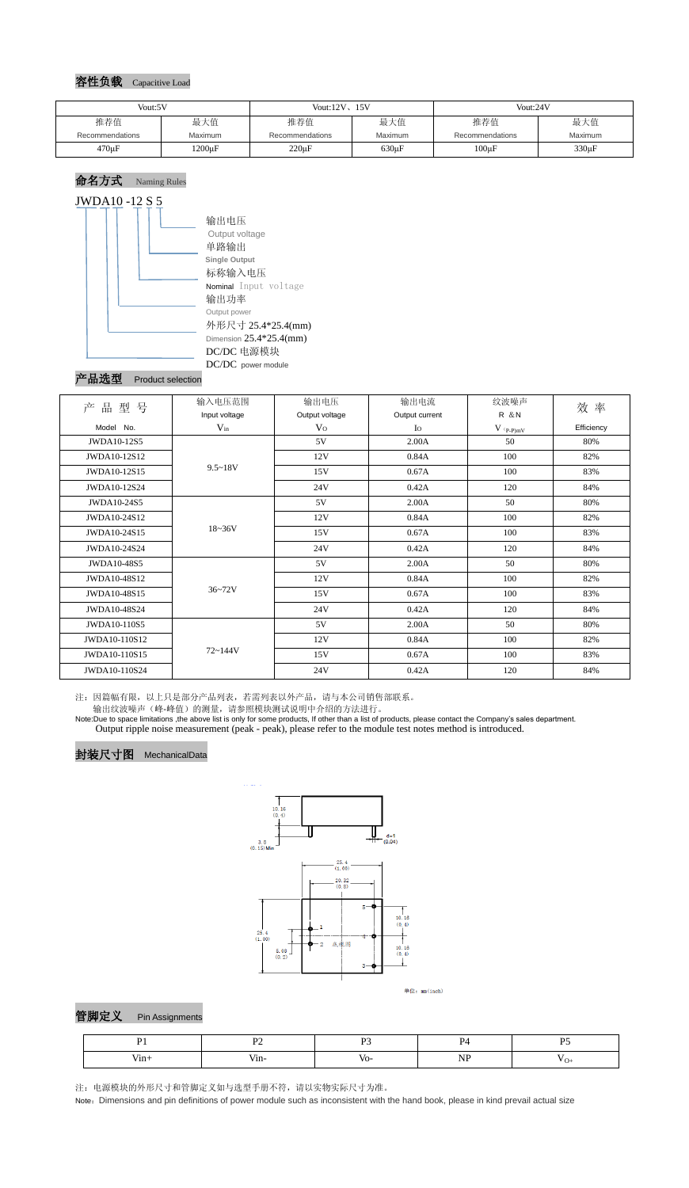#### 容性负载 Capacitive Load

# 命名方式 Naming Rules



#### Product selection

注:因篇幅有限,以上只是部分产品列表,若需列表以外产品,请与本公司销售部联系。

输出纹波噪声(峰-峰值)的测量,请参照模块测试说明中介绍的方法进行。

Note:Due to space limitations ,the above list is only for some products, If other than a list of products, please contact the Company's sales department. Output ripple noise measurement (peak - peak), please refer to the module test notes method is introduced.



# 封装尺寸图 MechanicalData



单位: mm(inch)



注:电源模块的外形尺寸和管脚定义如与选型手册不符,请以实物实际尺寸为准。

Note: Dimensions and pin definitions of power module such as inconsistent with the hand book, please in kind prevail actual size

| Vout:5V         |                | Vout: $12V$ , $15V$    |            | Vout:24V        |         |
|-----------------|----------------|------------------------|------------|-----------------|---------|
| 推荐值             | 最大值            | 推荐值                    | 最大值        | 推荐值             | 最大值     |
| Recommendations | <b>Maximum</b> | <b>Recommendations</b> | Maximum    | Recommendations | Maximum |
| $470 \mu F$     | $1200 \mu F$   | $220 \mu F$            | $630\mu F$ | $100\mu F$      | 330µF   |

| 品<br>型<br>号<br>产 | 输入电压范围        | 输出电压                                                                             | 输出电流  | 纹波噪声       | 效率  |
|------------------|---------------|----------------------------------------------------------------------------------|-------|------------|-----|
|                  | Input voltage | Output voltage<br>Output current                                                 |       | R & N      |     |
| Model No.        | $V_{in}$      | $\rm V_{O}$<br>$I_{\rm O}$<br>$V$ $\mathrm{(}p\text{-}p\mathrm{)}m\underline{V}$ |       | Efficiency |     |
| JWDA10-12S5      |               | 5V                                                                               | 2.00A | 50         | 80% |
| JWDA10-12S12     | $9.5 - 18V$   | 12V                                                                              | 0.84A | 100        | 82% |
| JWDA10-12S15     |               | 15V                                                                              | 0.67A | 100        | 83% |
| JWDA10-12S24     |               | 24V                                                                              | 0.42A | 120        | 84% |
| JWDA10-24S5      | $18 - 36V$    | 5V                                                                               | 2.00A | 50         | 80% |
| JWDA10-24S12     |               | 12V                                                                              | 0.84A | 100        | 82% |
| JWDA10-24S15     |               | 15V                                                                              | 0.67A | 100        | 83% |
| JWDA10-24S24     |               | 24V                                                                              | 0.42A | 120        | 84% |
| JWDA10-48S5      | $36 - 72V$    | 5V                                                                               | 2.00A | 50         | 80% |
| JWDA10-48S12     |               | 12V                                                                              | 0.84A | 100        | 82% |
| JWDA10-48S15     |               | 15V                                                                              | 0.67A | 100        | 83% |
| JWDA10-48S24     |               | 24V                                                                              | 0.42A | 120        | 84% |
| JWDA10-110S5     | $72 - 144V$   | 5V                                                                               | 2.00A | 50         | 80% |
| JWDA10-110S12    |               | 12V                                                                              | 0.84A | 100        | 82% |
| JWDA10-110S15    |               | 15V                                                                              | 0.67A | 100        | 83% |
| JWDA10-110S24    |               | 24V                                                                              | 0.42A | 120        | 84% |

|             | $\sim$ $\sim$ |       |            | DС  |
|-------------|---------------|-------|------------|-----|
| .<br>у 111∓ | ,             | – V∩- | --<br>$ -$ | . . |